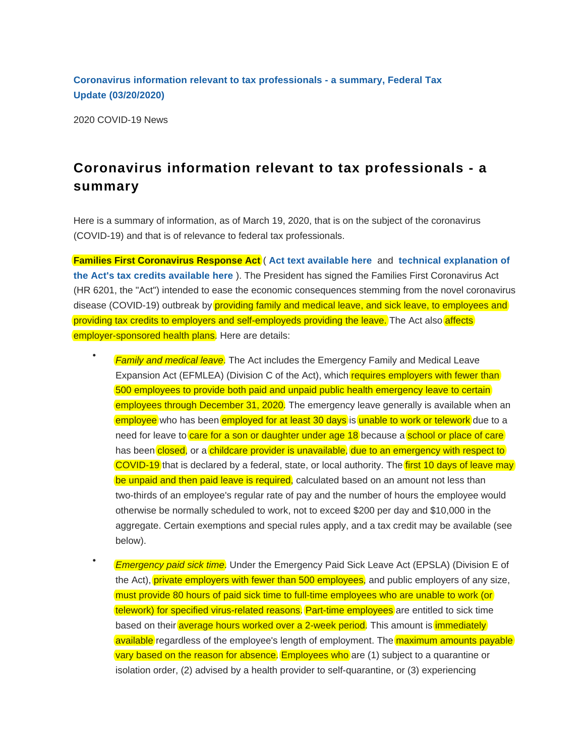**[Coronavirus information relevant to tax professionals - a summary, Federal Tax](https://checkpoint.riag.com/app/find?begParm=y&appVer=20.03&dbName=FEDNEWS&linkType=docloc&locId=i9eb603e9e2b24fea9d4eb0f3de94910d&ods=NLNEWS20B&permaId=I9eb603e9e2b24fea9d4eb0f3de94910d&permaType=doc&tagName=DOC-WRAPPER&endParm=y) [Update \(03/2](https://checkpoint.riag.com/app/find?begParm=y&appVer=20.03&dbName=FEDNEWS&linkType=docloc&locId=i9eb603e9e2b24fea9d4eb0f3de94910d&ods=NLNEWS20B&permaId=I9eb603e9e2b24fea9d4eb0f3de94910d&permaType=doc&tagName=DOC-WRAPPER&endParm=y)0/2020)**

2020 COVID-19 News

•

## **Coronavirus information relevant to tax professionals - a summary**

Here is a summary of information, as of March 19, 2020, that is on the subject of the coronavirus (COVID-19) and that is of relevance to federal tax professionals.

**Families First Coronavirus Response Act** ( **[Act text available here](https://www.congress.gov/bill/116th-congress/house-bill/6201/text)** and **[technical explanation of](https://www.jct.gov/publications.html?func=startdown&id=5251) [the Act's tax credits available here](https://www.jct.gov/publications.html?func=startdown&id=5251)** ). The President has signed the Families First Coronavirus Act (HR 6201, the "Act") intended to ease the economic consequences stemming from the novel coronavirus disease (COVID-19) outbreak by providing family and medical leave, and sick leave, to employees and providing tax credits to employers and self-employeds providing the leave. The Act also affects employer-sponsored health plans. Here are details:

- **Family and medical leave.** The Act includes the Emergency Family and Medical Leave Expansion Act (EFMLEA) (Division C of the Act), which requires employers with fewer than 500 employees to provide both paid and unpaid public health emergency leave to certain employees through December 31, 2020. The emergency leave generally is available when an employee who has been employed for at least 30 days is unable to work or telework due to a need for leave to care for a son or daughter under age  $18$  because a school or place of care has been closed, or a childcare provider is unavailable, due to an emergency with respect to COVID-19 that is declared by a federal, state, or local authority. The first 10 days of leave may be unpaid and then paid leave is required, calculated based on an amount not less than two-thirds of an employee's regular rate of pay and the number of hours the employee would otherwise be normally scheduled to work, not to exceed \$200 per day and \$10,000 in the aggregate. Certain exemptions and special rules apply, and a tax credit may be available (see below).
- **Emergency paid sick time.** Under the Emergency Paid Sick Leave Act (EPSLA) (Division E of the Act), private employers with fewer than 500 employees, and public employers of any size, must provide 80 hours of paid sick time to full-time employees who are unable to work (or telework) for specified virus-related reasons. Part-time employees are entitled to sick time based on their average hours worked over a 2-week period. This amount is immediately available regardless of the employee's length of employment. The *maximum amounts payable* vary based on the reason for absence. Employees who are (1) subject to a quarantine or isolation order, (2) advised by a health provider to self-quarantine, or (3) experiencing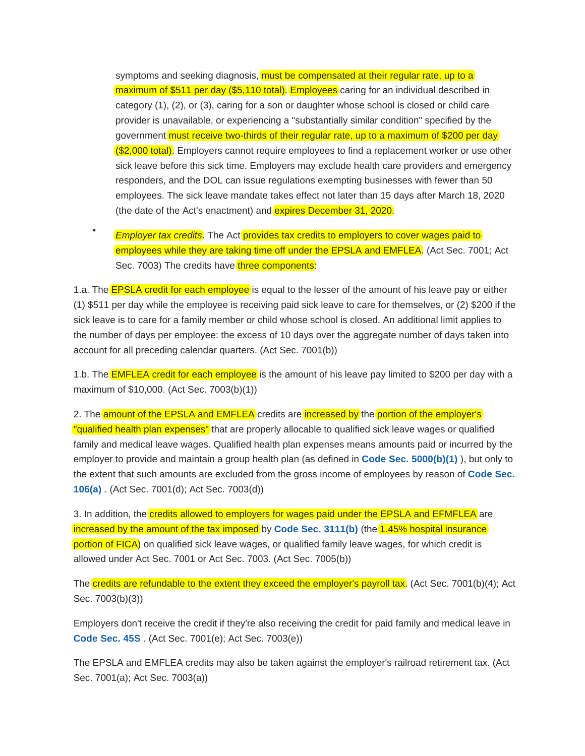symptoms and seeking diagnosis, must be compensated at their regular rate, up to a maximum of \$511 per day (\$5,110 total). Employees caring for an individual described in category (1), (2), or (3), caring for a son or daughter whose school is closed or child care provider is unavailable, or experiencing a "substantially similar condition" specified by the government must receive two-thirds of their regular rate, up to a maximum of \$200 per day (\$2,000 total). Employers cannot require employees to find a replacement worker or use other sick leave before this sick time. Employers may exclude health care providers and emergency responders, and the DOL can issue regulations exempting businesses with fewer than 50 employees. The sick leave mandate takes effect not later than 15 days after March 18, 2020 (the date of the Act's enactment) and expires December 31, 2020.

• *Employer tax credits*. The Act provides tax credits to employers to cover wages paid to employees while they are taking time off under the EPSLA and EMFLEA. (Act Sec. 7001; Act Sec. 7003) The credits have three components:

1.a. The **EPSLA credit for each employee** is equal to the lesser of the amount of his leave pay or either (1) \$511 per day while the employee is receiving paid sick leave to care for themselves, or (2) \$200 if the sick leave is to care for a family member or child whose school is closed. An additional limit applies to the number of days per employee: the excess of 10 days over the aggregate number of days taken into account for all preceding calendar quarters. (Act Sec. 7001(b))

1.b. The **EMFLEA credit for each employee** is the amount of his leave pay limited to \$200 per day with a maximum of \$10,000. (Act Sec. 7003(b)(1))

2. The amount of the EPSLA and EMFLEA credits are increased by the portion of the employer's "qualified health plan expenses" that are properly allocable to qualified sick leave wages or qualified family and medical leave wages. Qualified health plan expenses means amounts paid or incurred by the employer to provide and maintain a group health plan (as defined in **[Code Sec. 5000\(b\)\(1\)](https://checkpoint.riag.com/app/find?begParm=y&app.version=20.03&dbName=TCODE&linkType=docloc&locId=us_fed_26_usc_5000%28b%29%281%29&permaId=i33fd035619d811dcb1a9c7f8ee2eaa77&tagName=PARA&endParm=y)** ), but only to the extent that such amounts are excluded from the gross income of employees by reason of **[Code Sec.](https://checkpoint.riag.com/app/find?begParm=y&app.version=20.03&dbName=TCODE&linkType=docloc&locId=us_fed_26_usc_106%28a%29&permaId=i8322b8aa19d711dcb1a9c7f8ee2eaa77&tagName=SBSEC&endParm=y) [106\(a\)](https://checkpoint.riag.com/app/find?begParm=y&app.version=20.03&dbName=TCODE&linkType=docloc&locId=us_fed_26_usc_106%28a%29&permaId=i8322b8aa19d711dcb1a9c7f8ee2eaa77&tagName=SBSEC&endParm=y)** . (Act Sec. 7001(d); Act Sec. 7003(d))

3. In addition, the credits allowed to employers for wages paid under the EPSLA and EFMFLEA are increased by the amount of the tax imposed by **[Code Sec. 3111\(b\)](https://checkpoint.riag.com/app/find?begParm=y&app.version=20.03&dbName=TCODE&linkType=docloc&locId=us_fed_26_usc_3111%28b%29&permaId=i16bf73e619d811dcb1a9c7f8ee2eaa77&tagName=SBSEC&endParm=y)** (the 1.45% hospital insurance portion of FICA) on qualified sick leave wages, or qualified family leave wages, for which credit is allowed under Act Sec. 7001 or Act Sec. 7003. (Act Sec. 7005(b))

The credits are refundable to the extent they exceed the employer's payroll tax. (Act Sec. 7001(b)(4); Act Sec. 7003(b)(3))

Employers don't receive the credit if they're also receiving the credit for paid family and medical leave in **[Code Sec. 45S](https://checkpoint.riag.com/app/find?begParm=y&app.version=20.03&dbName=TCODE&linkType=docloc&locId=45s&permaId=i2e6ef2fe215ecc26d27984a82f9d296f&tagName=SEC&endParm=y)** . (Act Sec. 7001(e); Act Sec. 7003(e))

The EPSLA and EMFLEA credits may also be taken against the employer's railroad retirement tax. (Act Sec. 7001(a); Act Sec. 7003(a))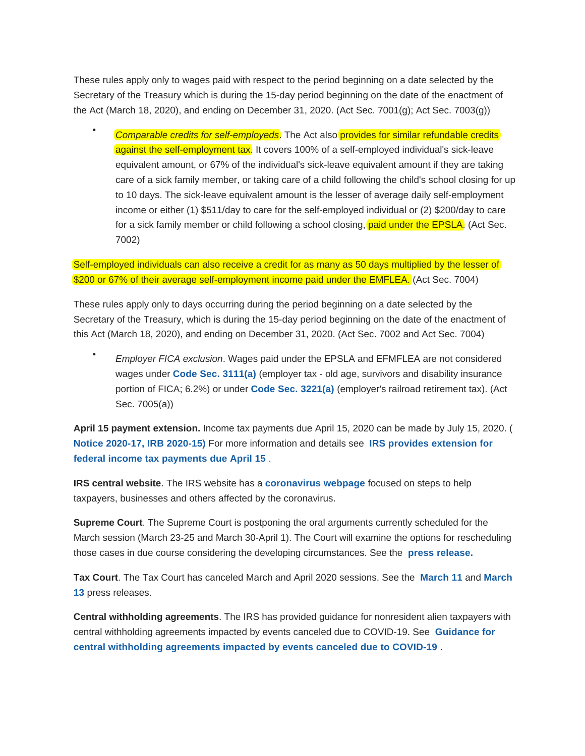These rules apply only to wages paid with respect to the period beginning on a date selected by the Secretary of the Treasury which is during the 15-day period beginning on the date of the enactment of the Act (March 18, 2020), and ending on December 31, 2020. (Act Sec. 7001(g); Act Sec. 7003(g))

Comparable credits for self-employeds. The Act also provides for similar refundable credits against the self-employment tax. It covers 100% of a self-employed individual's sick-leave equivalent amount, or 67% of the individual's sick-leave equivalent amount if they are taking care of a sick family member, or taking care of a child following the child's school closing for up to 10 days. The sick-leave equivalent amount is the lesser of average daily self-employment income or either (1) \$511/day to care for the self-employed individual or (2) \$200/day to care for a sick family member or child following a school closing, paid under the EPSLA. (Act Sec. 7002)

Self-employed individuals can also receive a credit for as many as 50 days multiplied by the lesser of \$200 or 67% of their average self-employment income paid under the EMFLEA. (Act Sec. 7004)

These rules apply only to days occurring during the period beginning on a date selected by the Secretary of the Treasury, which is during the 15-day period beginning on the date of the enactment of this Act (March 18, 2020), and ending on December 31, 2020. (Act Sec. 7002 and Act Sec. 7004)

• Employer FICA exclusion. Wages paid under the EPSLA and EFMFLEA are not considered wages under **[Code Sec. 3111\(a\)](https://checkpoint.riag.com/app/find?begParm=y&app.version=20.03&dbName=TCODE&linkType=docloc&locId=us_fed_26_usc_3111%28a%29&permaId=i16bf73e619d811dcb1a9c7f8ee2eaa77&tagName=SBSEC&endParm=y)** (employer tax - old age, survivors and disability insurance portion of FICA; 6.2%) or under **[Code Sec. 3221\(a\)](https://checkpoint.riag.com/app/find?begParm=y&app.version=20.03&dbName=TCODE&linkType=docloc&locId=us_fed_26_usc_3221%28a%29&permaId=i18b14db419d811dcb1a9c7f8ee2eaa77&tagName=SBSEC&endParm=y)** (employer's railroad retirement tax). (Act Sec. 7005(a))

**April 15 payment extension.** Income tax payments due April 15, 2020 can be made by July 15, 2020. [\(](https://checkpoint.riag.com/app/find?begParm=y&app.version=20.03&dbName=RULINGS&linkType=docloc&locId=preamble_notice2020-17&permaId=ie3e4b2cbfecd6cf3b726b9468da1304e&tagName=NOTICE&endParm=y) **[Notice 2020-17, IRB 2020-15\)](https://checkpoint.riag.com/app/find?begParm=y&app.version=20.03&dbName=RULINGS&linkType=docloc&locId=preamble_notice2020-17&permaId=ie3e4b2cbfecd6cf3b726b9468da1304e&tagName=NOTICE&endParm=y)** For more information and details see **[IRS provides extension for](https://checkpoint.riag.com/app/find?begParm=y&app.version=20.03&dbName=FEDNEWS&linkType=docloc&locId=id830c785543f4f78a763ae2a7d2b8b96&permaId=Id830c785543f4f78a763ae2a7d2b8b96&tagName=DOC-WRAPPER&endParm=y) [federal income tax payments due April 15](https://checkpoint.riag.com/app/find?begParm=y&app.version=20.03&dbName=FEDNEWS&linkType=docloc&locId=id830c785543f4f78a763ae2a7d2b8b96&permaId=Id830c785543f4f78a763ae2a7d2b8b96&tagName=DOC-WRAPPER&endParm=y)** .

**IRS central website**. The IRS website has a **[coronavirus webpage](https://www.irs.gov/coronavirus)** focused on steps to help taxpayers, businesses and others affected by the coronavirus.

**Supreme Court**. The Supreme Court is postponing the oral arguments currently scheduled for the March session (March 23-25 and March 30-April 1). The Court will examine the options for rescheduling those cases in due course considering the developing circumstances. See the **[press release](https://www.supremecourt.gov/publicinfo/press/pressreleases/pr_03-16-20).**

**Tax Court**. The Tax Court has canceled March and April 2020 sessions. See the **[March 11](https://www.ustaxcourt.gov/press/03112020.pdf)** and **[March](https://www.ustaxcourt.gov/press/03132020.pdf) [13](https://www.ustaxcourt.gov/press/03132020.pdf)** press releases.

**Central withholding agreements**. The IRS has provided guidance for nonresident alien taxpayers with central withholding agreements impacted by events canceled due to COVID-19. See **[Guidance for](https://checkpoint.riag.com/app/find?begParm=y&app.version=20.03&dbName=FEDNEWS&linkType=docloc&locId=icf4ea67d6000429a89523cb6480692be&permaId=Icf4ea67d6000429a89523cb6480692be&tagName=DOC-WRAPPER&endParm=y) [central withholding agreements impacted by events canceled due to COVID-19](https://checkpoint.riag.com/app/find?begParm=y&app.version=20.03&dbName=FEDNEWS&linkType=docloc&locId=icf4ea67d6000429a89523cb6480692be&permaId=Icf4ea67d6000429a89523cb6480692be&tagName=DOC-WRAPPER&endParm=y)** .